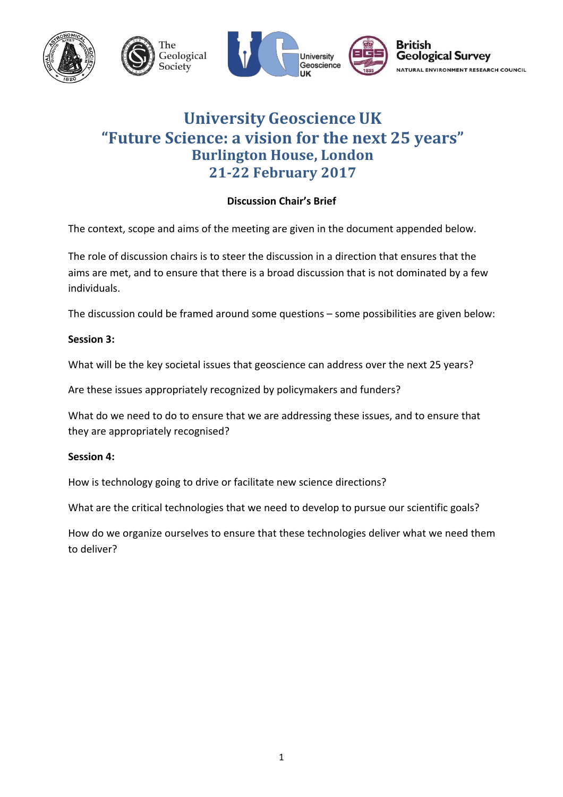

# **University Geoscience UK "Future Science: a vision for the next 25 years" Burlington House, London 21-22 February 2017**

# **Discussion Chair's Brief**

The context, scope and aims of the meeting are given in the document appended below.

The role of discussion chairs is to steer the discussion in a direction that ensures that the aims are met, and to ensure that there is a broad discussion that is not dominated by a few individuals. 

The discussion could be framed around some questions  $-$  some possibilities are given below:

#### **Session 3:**

What will be the key societal issues that geoscience can address over the next 25 years?

Are these issues appropriately recognized by policymakers and funders?

What do we need to do to ensure that we are addressing these issues, and to ensure that they are appropriately recognised?

#### **Session 4:**

How is technology going to drive or facilitate new science directions?

What are the critical technologies that we need to develop to pursue our scientific goals?

How do we organize ourselves to ensure that these technologies deliver what we need them to deliver?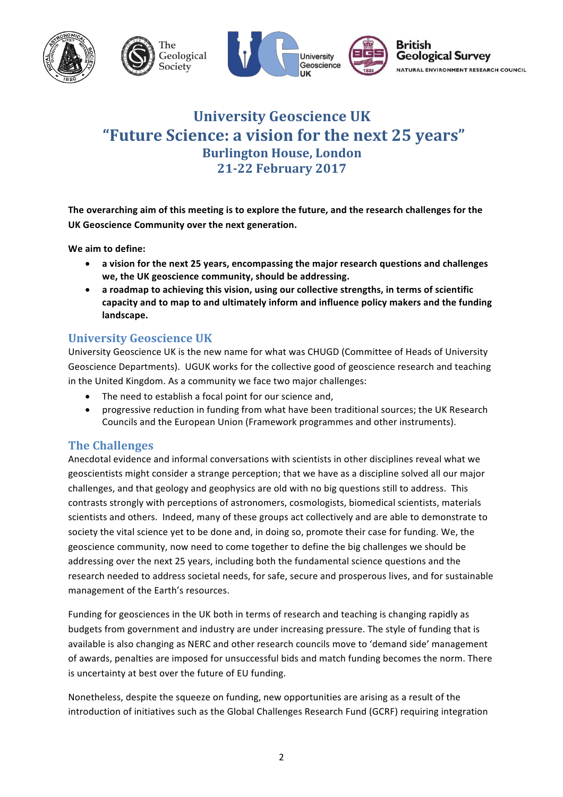

# **University Geoscience UK "Future Science: a vision for the next 25 years" Burlington House, London 21-22 February 2017**

The overarching aim of this meeting is to explore the future, and the research challenges for the UK Geoscience Community over the next generation.

We aim to define:

- a vision for the next 25 years, encompassing the major research questions and challenges we, the UK geoscience community, should be addressing.
- a roadmap to achieving this vision, using our collective strengths, in terms of scientific capacity and to map to and ultimately inform and influence policy makers and the funding landscape.

# **University Geoscience UK**

University Geoscience UK is the new name for what was CHUGD (Committee of Heads of University Geoscience Departments). UGUK works for the collective good of geoscience research and teaching in the United Kingdom. As a community we face two major challenges:

- The need to establish a focal point for our science and,
- progressive reduction in funding from what have been traditional sources; the UK Research Councils and the European Union (Framework programmes and other instruments).

### **The Challenges**

Anecdotal evidence and informal conversations with scientists in other disciplines reveal what we geoscientists might consider a strange perception; that we have as a discipline solved all our major challenges, and that geology and geophysics are old with no big questions still to address. This contrasts strongly with perceptions of astronomers, cosmologists, biomedical scientists, materials scientists and others. Indeed, many of these groups act collectively and are able to demonstrate to society the vital science yet to be done and, in doing so, promote their case for funding. We, the geoscience community, now need to come together to define the big challenges we should be addressing over the next 25 years, including both the fundamental science questions and the research needed to address societal needs, for safe, secure and prosperous lives, and for sustainable management of the Earth's resources.

Funding for geosciences in the UK both in terms of research and teaching is changing rapidly as budgets from government and industry are under increasing pressure. The style of funding that is available is also changing as NERC and other research councils move to 'demand side' management of awards, penalties are imposed for unsuccessful bids and match funding becomes the norm. There is uncertainty at best over the future of EU funding.

Nonetheless, despite the squeeze on funding, new opportunities are arising as a result of the introduction of initiatives such as the Global Challenges Research Fund (GCRF) requiring integration